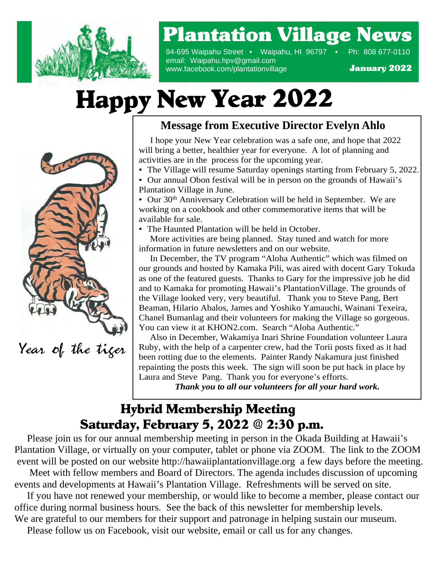

### Plantation Village News

94-695 Waipahu Street • Waipahu, HI 96797 • Ph: 808 677-0110 email: Waipahu.hpv@gmail.com www.facebook.com/plantationvillage

January 2022

### Happy New Year 2022



Year of the tiger

### **Message from Executive Director Evelyn Ahlo**

 I hope your New Year celebration was a safe one, and hope that 2022 will bring a better, healthier year for everyone. A lot of planning and activities are in the process for the upcoming year.

- The Village will resume Saturday openings starting from February 5, 2022.
- Our annual Obon festival will be in person on the grounds of Hawaii's Plantation Village in June.

• Our 30<sup>th</sup> Anniversary Celebration will be held in September. We are working on a cookbook and other commemorative items that will be available for sale.

• The Haunted Plantation will be held in October.

 More activities are being planned. Stay tuned and watch for more information in future newsletters and on our website.

 You can view it at KHON2.com. Search "Aloha Authentic." Beaman, Hilario Abalos, James and Yoshiko Yamauchi, Wainani Texeira, In December, the TV program "Aloha Authentic" which was filmed on our grounds and hosted by Kamaka Pili, was aired with docent Gary Tokuda as one of the featured guests. Thanks to Gary for the impressive job he did and to Kamaka for promoting Hawaii's PlantationVillage. The grounds of the Village looked very, very beautiful. Thank you to Steve Pang, Bert Chanel Bumanlag and their volunteers for making the Village so gorgeous.

 Also in December, Wakamiya Inari Shrine Foundation volunteer Laura Ruby, with the help of a carpenter crew, had the Torii posts fixed as it had been rotting due to the elements. Painter Randy Nakamura just finished repainting the posts this week. The sign will soon be put back in place by Laura and Steve Pang. Thank you for everyone's efforts.

*Thank you to all our volunteers for all your hard work.*

### Hybrid Membership Meeting Saturday, February 5, 2022 @ 2:30 p.m.

 Please join us for our annual membership meeting in person in the Okada Building at Hawaii's Plantation Village, or virtually on your computer, tablet or phone via ZOOM. The link to the ZOOM event will be posted on our website http://hawaiiplantationvillage.org a few days before the meeting.

 Meet with fellow members and Board of Directors. The agenda includes discussion of upcoming events and developments at Hawaii's Plantation Village. Refreshments will be served on site.

 If you have not renewed your membership, or would like to become a member, please contact our office during normal business hours. See the back of this newsletter for membership levels. We are grateful to our members for their support and patronage in helping sustain our museum.

Please follow us on Facebook, visit our website, email or call us for any changes.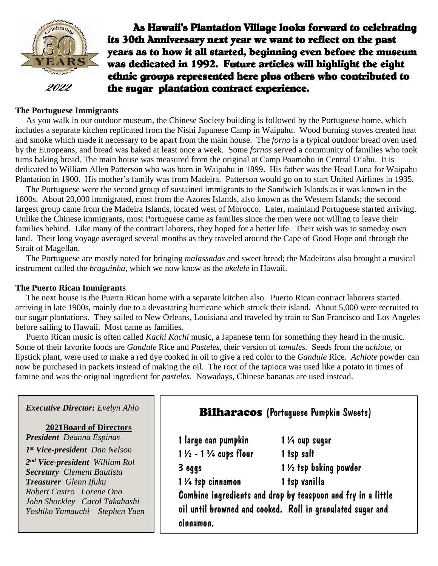

As Hawaii's Plantation Village looks forward to celebrating its 30th Anniversary next year we want to reflect on the past years as to how it all started, beginning even before the museum was dedicated in 1992. Future articles will highlight the eight ethnic groups represented here plus others who contributed to  $2022$  the sugar plantation contract experience.

#### **The Portuguese Immigrants**

 As you walk in our outdoor museum, the Chinese Society building is followed by the Portuguese home, which includes a separate kitchen replicated from the Nishi Japanese Camp in Waipahu. Wood burning stoves created heat and smoke which made it necessary to be apart from the main house. The *forno* is a typical outdoor bread oven used by the Europeans, and bread was baked at least once a week. Some *fornos* served a community of families who took turns baking bread. The main house was measured from the original at Camp Poamoho in Central O'ahu. It is dedicated to William Allen Patterson who was born in Waipahu in 1899. His father was the Head Luna for Waipahu Plantation in 1900. His mother's family was from Madeira. Patterson would go on to start United Airlines in 1935.

 The Portuguese were the second group of sustained immigrants to the Sandwich Islands as it was known in the 1800s. About 20,000 immigrated, most from the Azores Islands, also known as the Western Islands; the second largest group came from the Madeira Islands, located west of Morocco. Later, mainland Portuguese started arriving. Unlike the Chinese immigrants, most Portuguese came as families since the men were not willing to leave their families behind. Like many of the contract laborers, they hoped for a better life. Their wish was to someday own land. Their long voyage averaged several months as they traveled around the Cape of Good Hope and through the Strait of Magellan.

 The Portuguese are mostly noted for bringing *malassadas* and sweet bread; the Madeirans also brought a musical instrument called the *braguinha*, which we now know as the *ukelele* in Hawaii.

#### **The Puerto Rican Immigrants**

The next house is the Puerto Rican home with a separate kitchen also. Puerto Rican contract laborers started arriving in late 1900s, mainly due to a devastating hurricane which struck their island. About 5,000 were recruited to our sugar plantations. They sailed to New Orleans, Louisiana and traveled by train to San Francisco and Los Angeles before sailing to Hawaii. Most came as families.

 Puerto Rican music is often called *Kachi Kachi* music, a Japanese term for something they heard in the music. Some of their favorite foods are *Gandule* Rice and *Pasteles*, their version of *tamales.* Seeds from the *achiote,* or lipstick plant, were used to make a red dye cooked in oil to give a red color to the *Gandule* Rice. *Achiote* powder can now be purchased in packets instead of making the oil. The root of the tapioca was used like a potato in times of famine and was the original ingredient for *pasteles*. Nowadays, Chinese bananas are used instead.

| <b>Executive Director:</b> Evelyn Ahlo                                                                                                                                                                                                                                                                      | <b>Bilharacos</b> (Portuguese Pumpkin Sweets)                                                                   |                                                                                                                                                                                                                      |
|-------------------------------------------------------------------------------------------------------------------------------------------------------------------------------------------------------------------------------------------------------------------------------------------------------------|-----------------------------------------------------------------------------------------------------------------|----------------------------------------------------------------------------------------------------------------------------------------------------------------------------------------------------------------------|
| <b>2021Board of Directors</b><br><b>President</b> Deanna Espinas<br>1st Vice-president Dan Nelson<br>2 <sup>nd</sup> Vice-president William Rol<br><b>Secretary</b> Clement Bautista<br>Treasurer Glenn Ifuku<br>Robert Castro Lorene Ono<br>John Shockley Carol Takahashi<br>Yoshiko Yamauchi Stephen Yuen | 1 large can pumpkin<br>$1\frac{1}{2}$ - 1 $\frac{3}{4}$ cups flour<br>3 eggs<br>1 1/4 tsp cinnamon<br>cinnamon. | $1\,\mathcal{V}_4$ cup sugar<br>1 tsp salt<br>1 1/2 tsp baking powder<br>1 tsp vanilla<br>Combine ingredients and drop by teaspoon and fry in a little<br>oil until browned and cooked. Roll in granulated sugar and |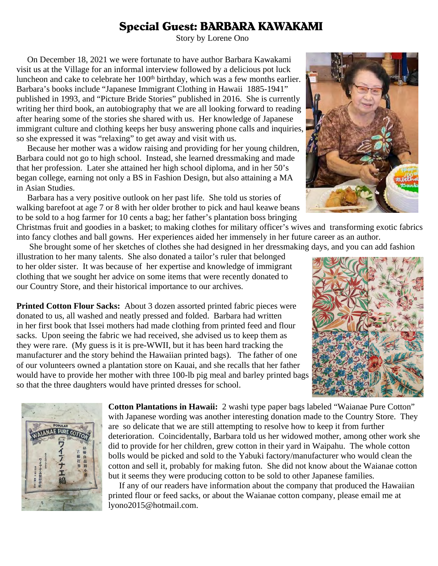#### Special Guest: BARBARA KAWAKAMI

Story by Lorene Ono

 On December 18, 2021 we were fortunate to have author Barbara Kawakami visit us at the Village for an informal interview followed by a delicious pot luck luncheon and cake to celebrate her 100<sup>th</sup> birthday, which was a few months earlier. Barbara's books include "Japanese Immigrant Clothing in Hawaii 1885-1941" published in 1993, and "Picture Bride Stories" published in 2016. She is currently writing her third book, an autobiography that we are all looking forward to reading after hearing some of the stories she shared with us. Her knowledge of Japanese immigrant culture and clothing keeps her busy answering phone calls and inquiries, so she expressed it was "relaxing" to get away and visit with us.

 Because her mother was a widow raising and providing for her young children, Barbara could not go to high school. Instead, she learned dressmaking and made that her profession. Later she attained her high school diploma, and in her 50's began college, earning not only a BS in Fashion Design, but also attaining a MA in Asian Studies.

 Barbara has a very positive outlook on her past life. She told us stories of walking barefoot at age 7 or 8 with her older brother to pick and haul keawe beans to be sold to a hog farmer for 10 cents a bag; her father's plantation boss bringing



She brought some of her sketches of clothes she had designed in her dressmaking days, and you can add fashion

illustration to her many talents. She also donated a tailor's ruler that belonged to her older sister. It was because of her expertise and knowledge of immigrant clothing that we sought her advice on some items that were recently donated to our Country Store, and their historical importance to our archives.

**Printed Cotton Flour Sacks:** About 3 dozen assorted printed fabric pieces were donated to us, all washed and neatly pressed and folded. Barbara had written in her first book that Issei mothers had made clothing from printed feed and flour sacks. Upon seeing the fabric we had received, she advised us to keep them as they were rare. (My guess is it is pre-WWII, but it has been hard tracking the manufacturer and the story behind the Hawaiian printed bags). The father of one of our volunteers owned a plantation store on Kauai, and she recalls that her father would have to provide her mother with three 100-lb pig meal and barley printed bags so that the three daughters would have printed dresses for school.





**Cotton Plantations in Hawaii:** 2 washi type paper bags labeled "Waianae Pure Cotton" with Japanese wording was another interesting donation made to the Country Store. They are so delicate that we are still attempting to resolve how to keep it from further deterioration. Coincidentally, Barbara told us her widowed mother, among other work she did to provide for her children, grew cotton in their yard in Waipahu. The whole cotton bolls would be picked and sold to the Yabuki factory/manufacturer who would clean the cotton and sell it, probably for making futon. She did not know about the Waianae cotton but it seems they were producing cotton to be sold to other Japanese families.

 If any of our readers have information about the company that produced the Hawaiian printed flour or feed sacks, or about the Waianae cotton company, please email me at lyono2015@hotmail.com.

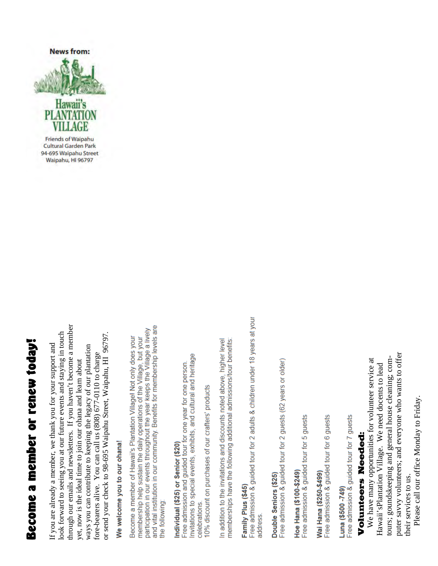# Become a member or renew today! Become a member or renew today!

through our emails and newsletters. If you haven't become a member through our emails and newsletters. If you haven't become a member look forward to seeing you at our future events and staying in touch look forward to seeing you at our future events and staying in touch or send your check to 98-695 Waipahu Street, Waipahu, HI 96797. or send your check to 98-695 Waipahu Street, Waipahu, HI 96797. If you are already a member, we thank you for your support and ways you can contribute to keeping the legacy of our plantation If you are already a member, we thank you for your support and ways you can contribute to keeping the legacy of our plantation fore-bearers alive. You can call us (808) 677-0110 to charge fore-bearers alive. You can call us (808) 677-0110 to charge yet, now is the ideal time to join our ohana and learn about yet, now is the ideal time to join our ohana and learn about

## We welcome you to our ohana!

and vital institution in our community. Benefits for membership levels are participation in our events throughout the year keeps the Village a lively Become a member of Hawaii's Plantation Village! Not only does your membership help sustain the daily operations of the Village, but your the following:

### Individual (\$25) or Senior (\$20)

Invitations to special events, exhibits, and cultural and heritage Free admission and guided tour for one year for one person. 10% discount on purchases of our crafters' products celebrations

In addition to the invitations and discounts noted above, higher level memberships have the following additional admissions/tour benefits:

### Family Plus (\$45)

Free admission & guided tour for 2 adults & children under 18 years at your address

# Double Seniors (\$25)

Free admission & guided tour for 2 guests (62 years or older)

# Hoe Hana (\$100-\$249)

Free admission & guided tour for 5 guests

Free admission & guided tour for 6 guests Wai Hana (\$250-\$499)

Free admission & guided tour for 7 guests Luna (\$500-749)

#### Volu nten<br>Jo Needed:

Ě ֧֧֧֧֧֧֧֧֧֧֧֧֧֧֧֧֧֧֧֧֧֚֚֚֚֚֚֚֚֚֚֚֚֚֚֚֚֚֝֝֝֓֝֬֝֓֝֬֝֬֝֬֝֬֝֬֓֬֝֬֝֬֝֬֝֬֬ We have many nii:<br>cii: .<br>. opportu ֧֪֬֝֝֬֝֬֝֬֝֬֝֬֝֝֬֝֬֝֬֝֝֬֝֬֝֬֝֝**֟** nities for v  $\frac{1}{2}$ nte er service at Hawš aii'sPla ntatio nVilla ge. W eneed $\ddot{\phantom{0}}$ doce nts to le ad $\Xi$ urs; g oundsk eepin g1 andgeneral h ouse cle anin , g<br>co mputer sa vvy.<br>. volu nte ers; a ndevery onewhowants to offer  $\pm$ eir services to us.

Ple ase call o ur office Monday to Frid ay.

**Friends of Waipahu Cultural Garden Park** 94-695 Waipahu Street Waipahu, HI 96797